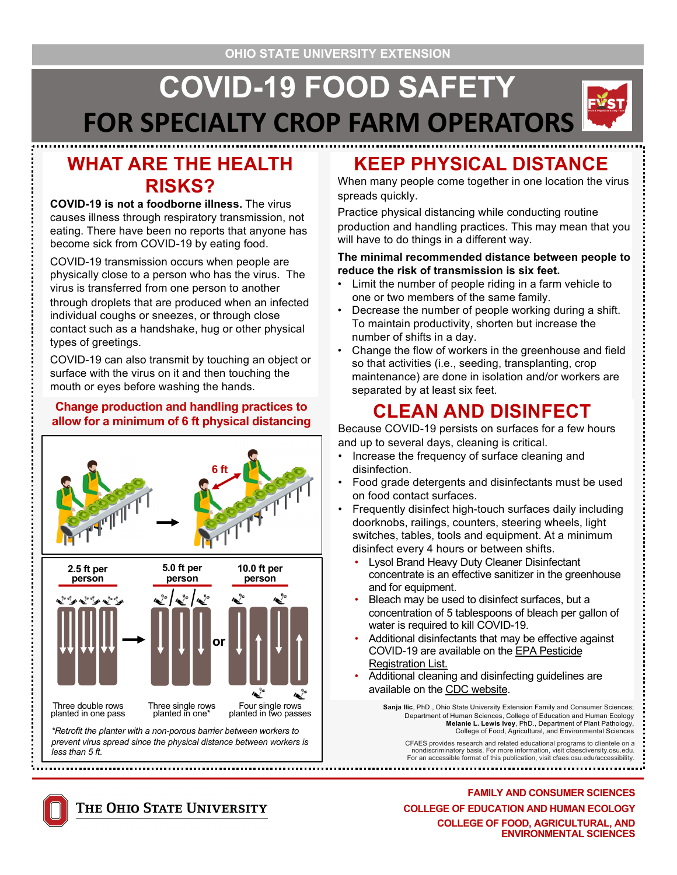# **COVID-19 FOOD SAFETY FOR SPECIALTY CROP FARM OPERATORS**

### **WHAT ARE THE HEALTH RISKS?**

**COVID-19 is not a foodborne illness.** The virus causes illness through respiratory transmission, not eating. There have been no reports that anyone has become sick from COVID-19 by eating food.

COVID-19 transmission occurs when people are physically close to a person who has the virus. The virus is transferred from one person to another

through droplets that are produced when an infected individual coughs or sneezes, or through close contact such as a handshake, hug or other physical types of greetings.

COVID-19 can also transmit by touching an object or surface with the virus on it and then touching the mouth or eyes before washing the hands.

### **Change production and handling practices to allow for a minimum of 6 ft physical distancing**



*prevent virus spread since the physical distance between workers is less than 5 ft.*

## **KEEP PHYSICAL DISTANCE**

When many people come together in one location the virus spreads quickly.

Practice physical distancing while conducting routine production and handling practices. This may mean that you will have to do things in a different way.

#### **The minimal recommended distance between people to reduce the risk of transmission is six feet.**

- Limit the number of people riding in a farm vehicle to one or two members of the same family.
- Decrease the number of people working during a shift. To maintain productivity, shorten but increase the number of shifts in a day.
- Change the flow of workers in the greenhouse and field so that activities (i.e., seeding, transplanting, crop maintenance) are done in isolation and/or workers are separated by at least six feet.

### **CLEAN AND DISINFECT**

Because COVID-19 persists on surfaces for a few hours and up to several days, cleaning is critical.

- Increase the frequency of surface cleaning and disinfection.
- Food grade detergents and disinfectants must be used on food contact surfaces.
- Frequently disinfect high-touch surfaces daily including doorknobs, railings, counters, steering wheels, light switches, tables, tools and equipment. At a minimum disinfect every 4 hours or between shifts.
	- Lysol Brand Heavy Duty Cleaner Disinfectant concentrate is an effective sanitizer in the greenhouse and for equipment.
	- Bleach may be used to disinfect surfaces, but a concentration of 5 tablespoons of bleach per gallon of water is required to kill COVID-19.
	- Additional disinfectants that may be effective against [COVID-19 are available on the EPA Pestici](https://www.epa.gov/pesticide-registration/list-n-disinfectants-use-against-sars-cov-2)de Registration List.
	- Additional cleaning and disinfecting guidelines are available on t[he CDC webs](https://www.cdc.gov/coronavirus/2019-ncov/prepare/cleaning-disinfection.html)ite.

**Sanja Ilic**, PhD., Ohio State University Extension Family and Consumer Sciences; Department of Human Sciences, College of Education and Human Ecology **Melanie L. Lewis Ivey**, PhD., Department of Plant Pathology, College of Food, Agricultural, and Environmental Sciences

CFAES provides research and related educational programs to clientele on a nondiscriminatory basis. For more information, visit cfaesdiversity.osu.edu. For an accessible format of this publication, visit cfaes.osu.edu/accessibility.

**FAMILY AND CONSUMER SCIENCES COLLEGE OF EDUCATION AND HUMAN ECOLOGY COLLEGE OF FOOD, AGRICULTURAL, AND ENVIRONMENTAL SCIENCES**